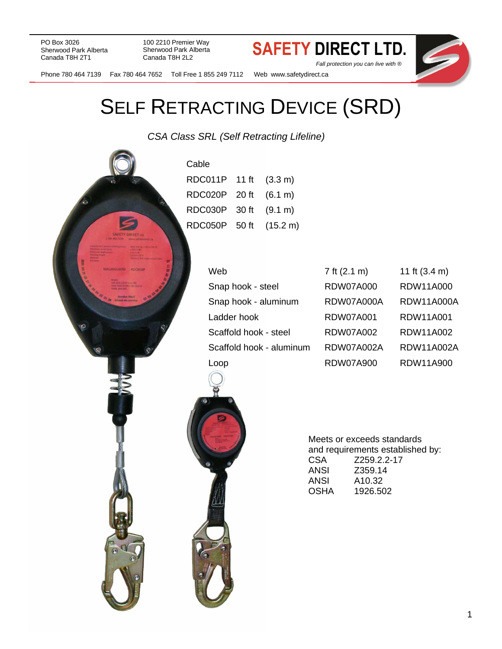PO Box 3026<br>Sherwood Park Alberta<br>Canada Tott and Sherwood Park Alberta<br>Canada Tott and Sherwood Park Alberta Sherwood Park Alberta Canada T8H 2T1

100 2210 Premier Way Sherwood Park Alberta Canada T8H 2L2

 *Fall protection you can live with ®*



## Phone 780 464 7139 Fax 780 464 7652 Toll Free 1 855 249 7112 Web www.safetydirect.ca

# SELF RETRACTING DEVICE (SRD)

*CSA Class SRL (Self Retracting Lifeline)*

| Cable                  |               |
|------------------------|---------------|
| RDC011P 11 ft (3.3 m)  |               |
| RDC020P 20 ft (6.1 m)  |               |
| RDC030P                | 30 ft (9.1 m) |
| RDC050P 50 ft (15.2 m) |               |
|                        |               |

| Web                      | 7 ft (2.1 m)     | 11 ft $(3.4 m)$   |
|--------------------------|------------------|-------------------|
| Snap hook - steel        | <b>RDW07A000</b> | RDW11A000         |
| Snap hook - aluminum     | RDW07A000A       | <b>RDW11A000A</b> |
| Ladder hook              | <b>RDW07A001</b> | RDW11A001         |
| Scaffold hook - steel    | RDW07A002        | RDW11A002         |
| Scaffold hook - aluminum | RDW07A002A       | RDW11A002A        |
| Loop                     | <b>RDW07A900</b> | RDW11A900         |



Meets or exceeds standards and requirements established by: CSA Z259.2.2-17 ANSI Z359.14 A10.32 OSHA 1926.502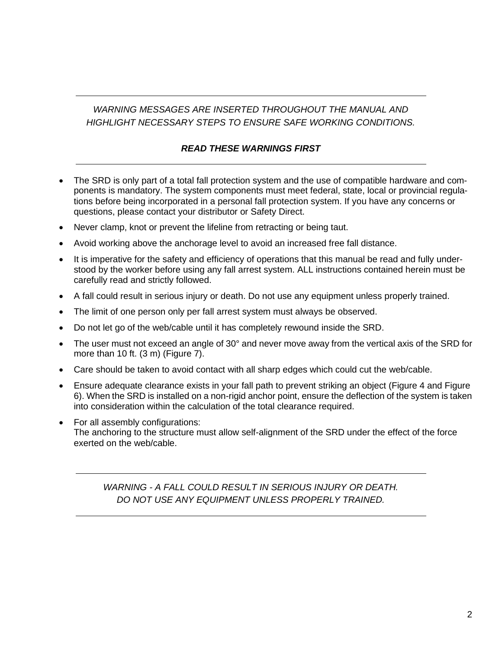## *WARNING MESSAGES ARE INSERTED THROUGHOUT THE MANUAL AND HIGHLIGHT NECESSARY STEPS TO ENSURE SAFE WORKING CONDITIONS.*

### *READ THESE WARNINGS FIRST*

- The SRD is only part of a total fall protection system and the use of compatible hardware and components is mandatory. The system components must meet federal, state, local or provincial regulations before being incorporated in a personal fall protection system. If you have any concerns or questions, please contact your distributor or Safety Direct.
- Never clamp, knot or prevent the lifeline from retracting or being taut.
- Avoid working above the anchorage level to avoid an increased free fall distance.
- It is imperative for the safety and efficiency of operations that this manual be read and fully understood by the worker before using any fall arrest system. ALL instructions contained herein must be carefully read and strictly followed.
- A fall could result in serious injury or death. Do not use any equipment unless properly trained.
- The limit of one person only per fall arrest system must always be observed.
- Do not let go of the web/cable until it has completely rewound inside the SRD.
- The user must not exceed an angle of 30° and never move away from the vertical axis of the SRD for more than 10 ft. (3 m) (Figure 7).
- Care should be taken to avoid contact with all sharp edges which could cut the web/cable.
- Ensure adequate clearance exists in your fall path to prevent striking an object (Figure 4 and Figure 6). When the SRD is installed on a non-rigid anchor point, ensure the deflection of the system is taken into consideration within the calculation of the total clearance required.
- For all assembly configurations: The anchoring to the structure must allow self-alignment of the SRD under the effect of the force exerted on the web/cable.

*WARNING - A FALL COULD RESULT IN SERIOUS INJURY OR DEATH. DO NOT USE ANY EQUIPMENT UNLESS PROPERLY TRAINED.*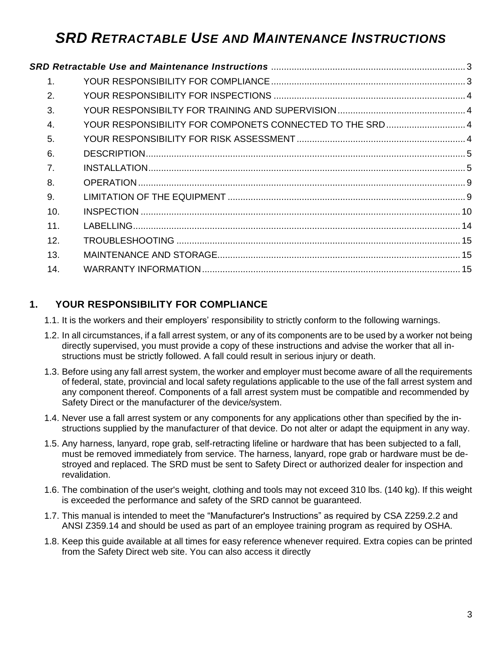## <span id="page-2-0"></span>*SRD RETRACTABLE USE AND MAINTENANCE INSTRUCTIONS*

| $\mathbf 1$ .    |                                                          |  |
|------------------|----------------------------------------------------------|--|
| 2.               |                                                          |  |
| 3.               |                                                          |  |
| $\overline{4}$ . | YOUR RESPONSIBILITY FOR COMPONETS CONNECTED TO THE SRD 4 |  |
| 5.               |                                                          |  |
| 6.               |                                                          |  |
| 7.               |                                                          |  |
| 8.               |                                                          |  |
| 9.               |                                                          |  |
| 10.              |                                                          |  |
| 11.              |                                                          |  |
| 12.              |                                                          |  |
| 13.              |                                                          |  |
| 14.              |                                                          |  |
|                  |                                                          |  |

## <span id="page-2-1"></span>**1. YOUR RESPONSIBILITY FOR COMPLIANCE**

1.1. It is the workers and their employers' responsibility to strictly conform to the following warnings.

- 1.2. In all circumstances, if a fall arrest system, or any of its components are to be used by a worker not being directly supervised, you must provide a copy of these instructions and advise the worker that all instructions must be strictly followed. A fall could result in serious injury or death.
- 1.3. Before using any fall arrest system, the worker and employer must become aware of all the requirements of federal, state, provincial and local safety regulations applicable to the use of the fall arrest system and any component thereof. Components of a fall arrest system must be compatible and recommended by Safety Direct or the manufacturer of the device/system.
- 1.4. Never use a fall arrest system or any components for any applications other than specified by the instructions supplied by the manufacturer of that device. Do not alter or adapt the equipment in any way.
- 1.5. Any harness, lanyard, rope grab, self-retracting lifeline or hardware that has been subjected to a fall, must be removed immediately from service. The harness, lanyard, rope grab or hardware must be destroyed and replaced. The SRD must be sent to Safety Direct or authorized dealer for inspection and revalidation.
- 1.6. The combination of the user's weight, clothing and tools may not exceed 310 lbs. (140 kg). If this weight is exceeded the performance and safety of the SRD cannot be guaranteed.
- 1.7. This manual is intended to meet the "Manufacturer's Instructions" as required by CSA Z259.2.2 and ANSI Z359.14 and should be used as part of an employee training program as required by OSHA.
- 1.8. Keep this guide available at all times for easy reference whenever required. Extra copies can be printed from the Safety Direct web site. You can also access it directly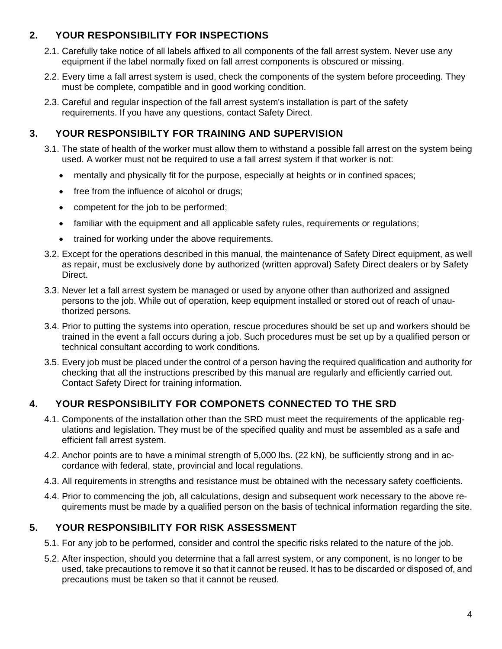## <span id="page-3-0"></span>**2. YOUR RESPONSIBILITY FOR INSPECTIONS**

- 2.1. Carefully take notice of all labels affixed to all components of the fall arrest system. Never use any equipment if the label normally fixed on fall arrest components is obscured or missing.
- 2.2. Every time a fall arrest system is used, check the components of the system before proceeding. They must be complete, compatible and in good working condition.
- 2.3. Careful and regular inspection of the fall arrest system's installation is part of the safety requirements. If you have any questions, contact Safety Direct.

## <span id="page-3-1"></span>**3. YOUR RESPONSIBILTY FOR TRAINING AND SUPERVISION**

- 3.1. The state of health of the worker must allow them to withstand a possible fall arrest on the system being used. A worker must not be required to use a fall arrest system if that worker is not:
	- mentally and physically fit for the purpose, especially at heights or in confined spaces;
	- free from the influence of alcohol or drugs;
	- competent for the job to be performed;
	- familiar with the equipment and all applicable safety rules, requirements or requiations;
	- trained for working under the above requirements.
- 3.2. Except for the operations described in this manual, the maintenance of Safety Direct equipment, as well as repair, must be exclusively done by authorized (written approval) Safety Direct dealers or by Safety Direct.
- 3.3. Never let a fall arrest system be managed or used by anyone other than authorized and assigned persons to the job. While out of operation, keep equipment installed or stored out of reach of unauthorized persons.
- 3.4. Prior to putting the systems into operation, rescue procedures should be set up and workers should be trained in the event a fall occurs during a job. Such procedures must be set up by a qualified person or technical consultant according to work conditions.
- 3.5. Every job must be placed under the control of a person having the required qualification and authority for checking that all the instructions prescribed by this manual are regularly and efficiently carried out. Contact Safety Direct for training information.

## <span id="page-3-2"></span>**4. YOUR RESPONSIBILITY FOR COMPONETS CONNECTED TO THE SRD**

- 4.1. Components of the installation other than the SRD must meet the requirements of the applicable regulations and legislation. They must be of the specified quality and must be assembled as a safe and efficient fall arrest system.
- 4.2. Anchor points are to have a minimal strength of 5,000 lbs. (22 kN), be sufficiently strong and in accordance with federal, state, provincial and local regulations.
- 4.3. All requirements in strengths and resistance must be obtained with the necessary safety coefficients.
- 4.4. Prior to commencing the job, all calculations, design and subsequent work necessary to the above requirements must be made by a qualified person on the basis of technical information regarding the site.

## <span id="page-3-3"></span>**5. YOUR RESPONSIBILITY FOR RISK ASSESSMENT**

- 5.1. For any job to be performed, consider and control the specific risks related to the nature of the job.
- 5.2. After inspection, should you determine that a fall arrest system, or any component, is no longer to be used, take precautions to remove it so that it cannot be reused. It has to be discarded or disposed of, and precautions must be taken so that it cannot be reused.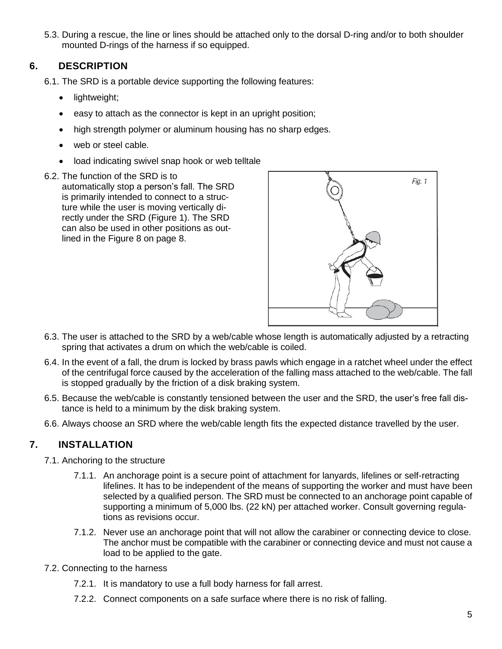5.3. During a rescue, the line or lines should be attached only to the dorsal D-ring and/or to both shoulder mounted D-rings of the harness if so equipped.

## **6. DESCRIPTION**

- <span id="page-4-0"></span>6.1. The SRD is a portable device supporting the following features:
	- lightweight;
	- easy to attach as the connector is kept in an upright position;
	- high strength polymer or aluminum housing has no sharp edges.
	- web or steel cable.
	- load indicating swivel snap hook or web telltale
- 6.2. The function of the SRD is to

automatically stop a person's fall. The SRD is primarily intended to connect to a structure while the user is moving vertically directly under the SRD (Figure 1). The SRD can also be used in other positions as outlined in the Figure 8 on page 8.



- 6.3. The user is attached to the SRD by a web/cable whose length is automatically adjusted by a retracting spring that activates a drum on which the web/cable is coiled.
- 6.4. In the event of a fall, the drum is locked by brass pawls which engage in a ratchet wheel under the effect of the centrifugal force caused by the acceleration of the falling mass attached to the web/cable. The fall is stopped gradually by the friction of a disk braking system.
- 6.5. Because the web/cable is constantly tensioned between the user and the SRD, the user's free fall distance is held to a minimum by the disk braking system.
- <span id="page-4-1"></span>6.6. Always choose an SRD where the web/cable length fits the expected distance travelled by the user.

## **7. INSTALLATION**

- 7.1. Anchoring to the structure
	- 7.1.1. An anchorage point is a secure point of attachment for lanyards, lifelines or self-retracting lifelines. It has to be independent of the means of supporting the worker and must have been selected by a qualified person. The SRD must be connected to an anchorage point capable of supporting a minimum of 5,000 lbs. (22 kN) per attached worker. Consult governing regulations as revisions occur.
	- 7.1.2. Never use an anchorage point that will not allow the carabiner or connecting device to close. The anchor must be compatible with the carabiner or connecting device and must not cause a load to be applied to the gate.
- 7.2. Connecting to the harness
	- 7.2.1. It is mandatory to use a full body harness for fall arrest.
	- 7.2.2. Connect components on a safe surface where there is no risk of falling.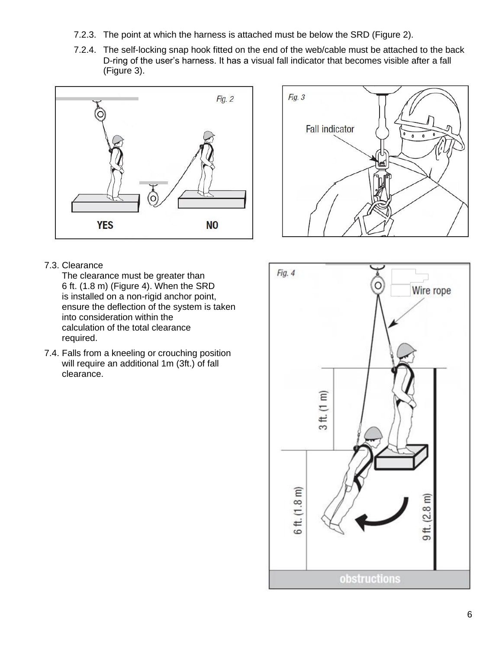- 7.2.3. The point at which the harness is attached must be below the SRD (Figure 2).
- 7.2.4. The self-locking snap hook fitted on the end of the web/cable must be attached to the back D-ring of the user's harness. It has a visual fall indicator that becomes visible after a fall (Figure 3).





#### 7.3. Clearance

The clearance must be greater than 6 ft. (1.8 m) (Figure 4). When the SRD is installed on a non-rigid anchor point, ensure the deflection of the system is taken into consideration within the calculation of the total clearance required.

7.4. Falls from a kneeling or crouching position will require an additional 1m (3ft.) of fall clearance.

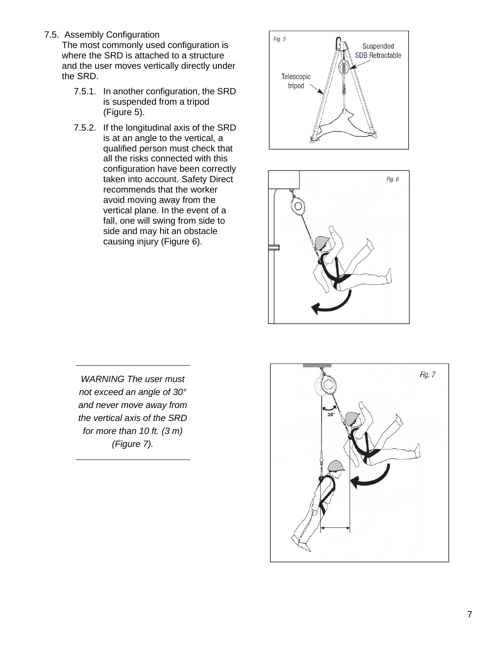7.5. Assembly Configuration

The most commonly used configuration is where the SRD is attached to a structure and the user moves vertically directly under the SRD.

- 7.5.1. In another configuration, the SRD is suspended from a tripod (Figure 5).
- 7.5.2. If the longitudinal axis of the SRD is at an angle to the vertical, a qualified person must check that all the risks connected with this configuration have been correctly taken into account. Safety Direct recommends that the worker avoid moving away from the vertical plane. In the event of a fall, one will swing from side to side and may hit an obstacle causing injury (Figure 6).





*WARNING The user must not exceed an angle of 30° and never move away from the vertical axis of the SRD for more than 10 ft. (3 m) (Figure 7).*

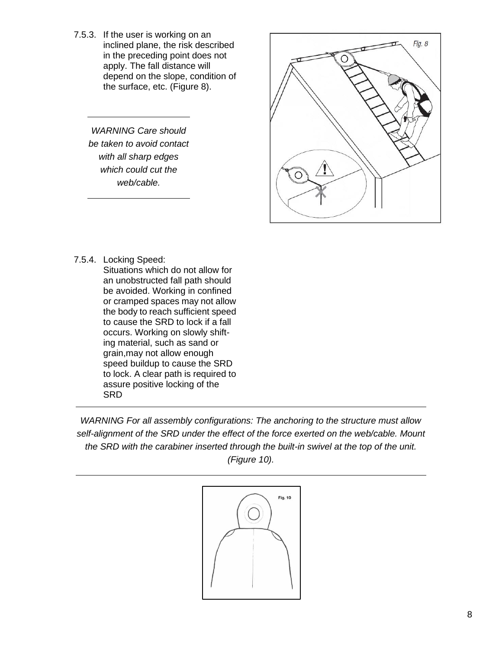7.5.3. If the user is working on an inclined plane, the risk described in the preceding point does not apply. The fall distance will depend on the slope, condition of the surface, etc. (Figure 8).

*WARNING Care should be taken to avoid contact with all sharp edges which could cut the web/cable.*



7.5.4. Locking Speed: Situations which do not allow for an unobstructed fall path should be avoided. Working in confined or cramped spaces may not allow the body to reach sufficient speed to cause the SRD to lock if a fall occurs. Working on slowly shifting material, such as sand or grain,may not allow enough speed buildup to cause the SRD to lock. A clear path is required to assure positive locking of the SRD

*WARNING For all assembly configurations: The anchoring to the structure must allow self-alignment of the SRD under the effect of the force exerted on the web/cable. Mount the SRD with the carabiner inserted through the built-in swivel at the top of the unit. (Figure 10).*

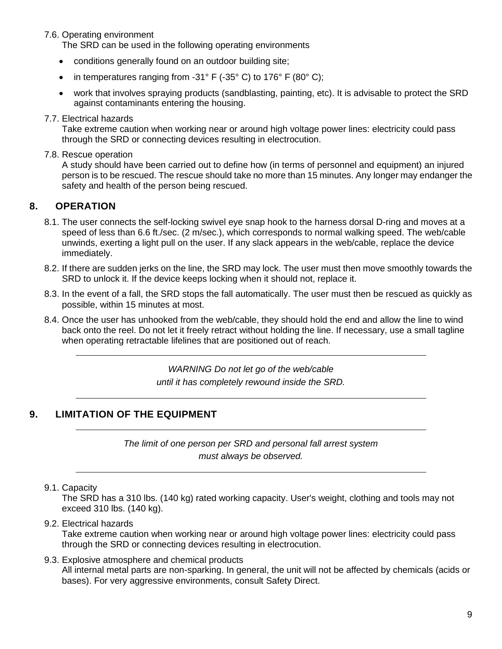#### 7.6. Operating environment

The SRD can be used in the following operating environments

- conditions generally found on an outdoor building site;
- in temperatures ranging from  $-31^\circ$  F ( $-35^\circ$  C) to 176° F (80° C);
- work that involves spraying products (sandblasting, painting, etc). It is advisable to protect the SRD against contaminants entering the housing.

#### 7.7. Electrical hazards

Take extreme caution when working near or around high voltage power lines: electricity could pass through the SRD or connecting devices resulting in electrocution.

#### 7.8. Rescue operation

A study should have been carried out to define how (in terms of personnel and equipment) an injured person is to be rescued. The rescue should take no more than 15 minutes. Any longer may endanger the safety and health of the person being rescued.

#### <span id="page-8-0"></span>**8. OPERATION**

- 8.1. The user connects the self-locking swivel eye snap hook to the harness dorsal D-ring and moves at a speed of less than 6.6 ft./sec. (2 m/sec.), which corresponds to normal walking speed. The web/cable unwinds, exerting a light pull on the user. If any slack appears in the web/cable, replace the device immediately.
- 8.2. If there are sudden jerks on the line, the SRD may lock. The user must then move smoothly towards the SRD to unlock it. If the device keeps locking when it should not, replace it.
- 8.3. In the event of a fall, the SRD stops the fall automatically. The user must then be rescued as quickly as possible, within 15 minutes at most.
- 8.4. Once the user has unhooked from the web/cable, they should hold the end and allow the line to wind back onto the reel. Do not let it freely retract without holding the line. If necessary, use a small tagline when operating retractable lifelines that are positioned out of reach.

*WARNING Do not let go of the web/cable until it has completely rewound inside the SRD.*

## <span id="page-8-1"></span>**9. LIMITATION OF THE EQUIPMENT**

*The limit of one person per SRD and personal fall arrest system must always be observed.*

#### 9.1. Capacity

The SRD has a 310 lbs. (140 kg) rated working capacity. User's weight, clothing and tools may not exceed 310 lbs. (140 kg).

#### 9.2. Electrical hazards

Take extreme caution when working near or around high voltage power lines: electricity could pass through the SRD or connecting devices resulting in electrocution.

9.3. Explosive atmosphere and chemical products All internal metal parts are non-sparking. In general, the unit will not be affected by chemicals (acids or bases). For very aggressive environments, consult Safety Direct.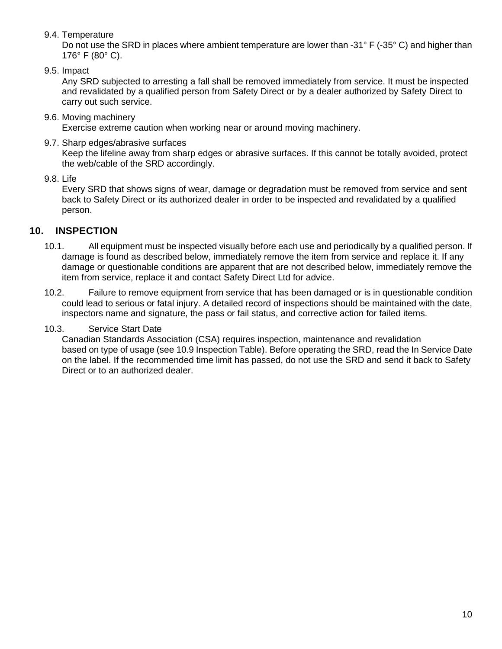#### 9.4. Temperature

Do not use the SRD in places where ambient temperature are lower than -31° F (-35° C) and higher than 176° F (80° C).

9.5. Impact

Any SRD subjected to arresting a fall shall be removed immediately from service. It must be inspected and revalidated by a qualified person from Safety Direct or by a dealer authorized by Safety Direct to carry out such service.

9.6. Moving machinery

Exercise extreme caution when working near or around moving machinery.

9.7. Sharp edges/abrasive surfaces

Keep the lifeline away from sharp edges or abrasive surfaces. If this cannot be totally avoided, protect the web/cable of the SRD accordingly.

9.8. Life

Every SRD that shows signs of wear, damage or degradation must be removed from service and sent back to Safety Direct or its authorized dealer in order to be inspected and revalidated by a qualified person.

## <span id="page-9-0"></span>**10. INSPECTION**

- 10.1. All equipment must be inspected visually before each use and periodically by a qualified person. If damage is found as described below, immediately remove the item from service and replace it. If any damage or questionable conditions are apparent that are not described below, immediately remove the item from service, replace it and contact Safety Direct Ltd for advice.
- 10.2. Failure to remove equipment from service that has been damaged or is in questionable condition could lead to serious or fatal injury. A detailed record of inspections should be maintained with the date, inspectors name and signature, the pass or fail status, and corrective action for failed items.

#### 10.3. Service Start Date

Canadian Standards Association (CSA) requires inspection, maintenance and revalidation based on type of usage (see 10.9 Inspection Table). Before operating the SRD, read the In Service Date on the label. If the recommended time limit has passed, do not use the SRD and send it back to Safety Direct or to an authorized dealer.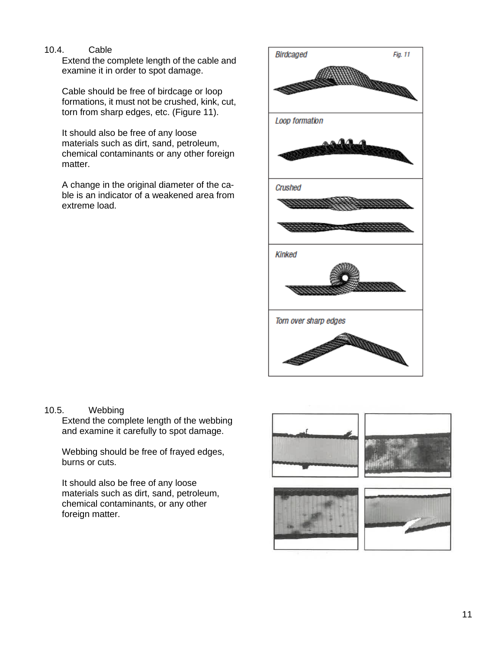#### 10.4. Cable

Extend the complete length of the cable and examine it in order to spot damage.

Cable should be free of birdcage or loop formations, it must not be crushed, kink, cut, torn from sharp edges, etc. (Figure 11).

It should also be free of any loose materials such as dirt, sand, petroleum, chemical contaminants or any other foreign matter.

A change in the original diameter of the cable is an indicator of a weakened area from extreme load.



10.5. Webbing

Extend the complete length of the webbing and examine it carefully to spot damage.

Webbing should be free of frayed edges, burns or cuts.

It should also be free of any loose materials such as dirt, sand, petroleum, chemical contaminants, or any other foreign matter.

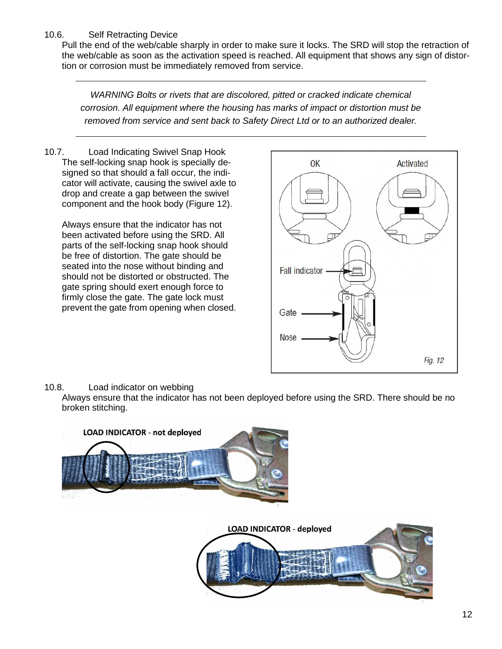#### 10.6. Self Retracting Device

Pull the end of the web/cable sharply in order to make sure it locks. The SRD will stop the retraction of the web/cable as soon as the activation speed is reached. All equipment that shows any sign of distortion or corrosion must be immediately removed from service.

*WARNING Bolts or rivets that are discolored, pitted or cracked indicate chemical corrosion. All equipment where the housing has marks of impact or distortion must be removed from service and sent back to Safety Direct Ltd or to an authorized dealer.*

10.7. Load Indicating Swivel Snap Hook The self-locking snap hook is specially designed so that should a fall occur, the indicator will activate, causing the swivel axle to drop and create a gap between the swivel component and the hook body (Figure 12).

Always ensure that the indicator has not been activated before using the SRD. All parts of the self-locking snap hook should be free of distortion. The gate should be seated into the nose without binding and should not be distorted or obstructed. The gate spring should exert enough force to firmly close the gate. The gate lock must prevent the gate from opening when closed.



#### 10.8. Load indicator on webbing

Always ensure that the indicator has not been deployed before using the SRD. There should be no broken stitching.

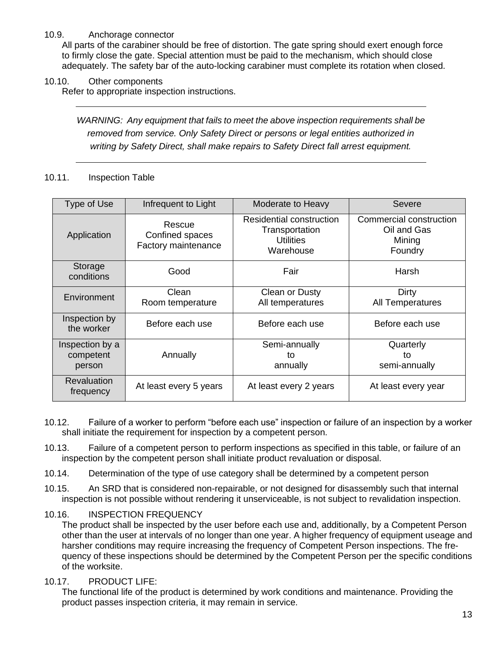#### 10.9. Anchorage connector

All parts of the carabiner should be free of distortion. The gate spring should exert enough force to firmly close the gate. Special attention must be paid to the mechanism, which should close adequately. The safety bar of the auto-locking carabiner must complete its rotation when closed.

10.10. Other components

Refer to appropriate inspection instructions.

*WARNING: Any equipment that fails to meet the above inspection requirements shall be removed from service. Only Safety Direct or persons or legal entities authorized in writing by Safety Direct, shall make repairs to Safety Direct fall arrest equipment.*

#### 10.11. Inspection Table

| Type of Use                            | Infrequent to Light                              | Moderate to Heavy                                                           | Severe                                                      |
|----------------------------------------|--------------------------------------------------|-----------------------------------------------------------------------------|-------------------------------------------------------------|
| Application                            | Rescue<br>Confined spaces<br>Factory maintenance | Residential construction<br>Transportation<br><b>Utilities</b><br>Warehouse | Commercial construction<br>Oil and Gas<br>Mining<br>Foundry |
| Storage<br>conditions                  | Good                                             | Fair                                                                        | Harsh                                                       |
| Environment                            | Clean<br>Room temperature                        | Clean or Dusty<br>All temperatures                                          | Dirty<br>All Temperatures                                   |
| Inspection by<br>the worker            | Before each use                                  | Before each use                                                             | Before each use                                             |
| Inspection by a<br>competent<br>person | Annually                                         | Semi-annually<br>to<br>annually                                             | Quarterly<br>to<br>semi-annually                            |
| <b>Revaluation</b><br>frequency        | At least every 5 years                           | At least every 2 years                                                      | At least every year                                         |

- 10.12. Failure of a worker to perform "before each use" inspection or failure of an inspection by a worker shall initiate the requirement for inspection by a competent person.
- 10.13. Failure of a competent person to perform inspections as specified in this table, or failure of an inspection by the competent person shall initiate product revaluation or disposal.
- 10.14. Determination of the type of use category shall be determined by a competent person
- 10.15. An SRD that is considered non-repairable, or not designed for disassembly such that internal inspection is not possible without rendering it unserviceable, is not subject to revalidation inspection.
- 10.16. INSPECTION FREQUENCY

The product shall be inspected by the user before each use and, additionally, by a Competent Person other than the user at intervals of no longer than one year. A higher frequency of equipment useage and harsher conditions may require increasing the frequency of Competent Person inspections. The frequency of these inspections should be determined by the Competent Person per the specific conditions of the worksite.

10.17. PRODUCT LIFE:

The functional life of the product is determined by work conditions and maintenance. Providing the product passes inspection criteria, it may remain in service.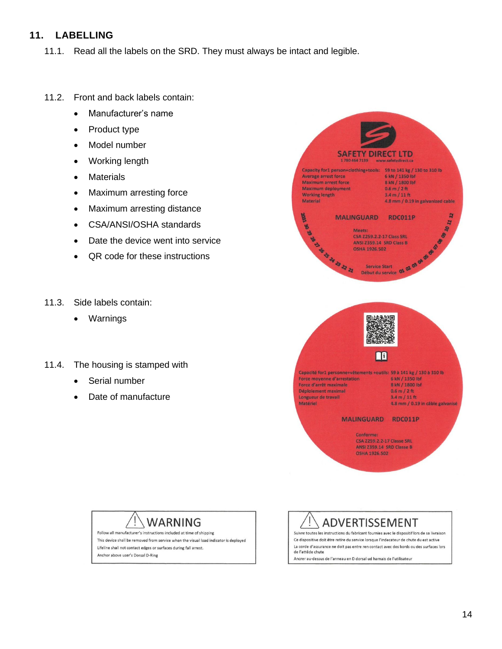### <span id="page-13-0"></span>**11. LABELLING**

- 11.1. Read all the labels on the SRD. They must always be intact and legible.
- 11.2. Front and back labels contain:
	- Manufacturer's name
	- Product type
	- Model number
	- Working length
	- Materials
	- Maximum arresting force
	- Maximum arresting distance
	- CSA/ANSI/OSHA standards
	- Date the device went into service
	- QR code for these instructions
- 11.3. Side labels contain:
	- Warnings
- 11.4. The housing is stamped with
	- Serial number
	- Date of manufacture



## **WARNING**

Follow all manufacturer's instructions included at time of shipping This device shall be removed from service when the visual load indicator is deployed Lifeline shall not contact edges or surfaces during fall arrest. Anchor above user's Dorsal D-Ring

ADVERTISSEMENT

Suivre toutes les instructions du fabricant fournies avec le dispositif lors de sa livraison Ce dispositive doit être retire du service lorsque l'indecateur de chute du est active La corde d'assurance ne doit pas entre ren contact avec des bords ou des surfaces lors de l'attêde chute Ancrer au-dessus de l'anneau en D dorsal ud harnais de l'utilisateur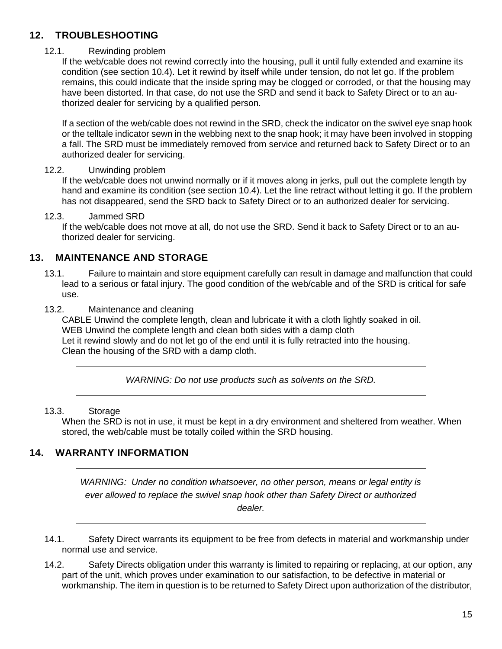## <span id="page-14-0"></span>**12. TROUBLESHOOTING**

#### 12.1. Rewinding problem

If the web/cable does not rewind correctly into the housing, pull it until fully extended and examine its condition (see section 10.4). Let it rewind by itself while under tension, do not let go. If the problem remains, this could indicate that the inside spring may be clogged or corroded, or that the housing may have been distorted. In that case, do not use the SRD and send it back to Safety Direct or to an authorized dealer for servicing by a qualified person.

If a section of the web/cable does not rewind in the SRD, check the indicator on the swivel eye snap hook or the telltale indicator sewn in the webbing next to the snap hook; it may have been involved in stopping a fall. The SRD must be immediately removed from service and returned back to Safety Direct or to an authorized dealer for servicing.

#### 12.2. Unwinding problem

If the web/cable does not unwind normally or if it moves along in jerks, pull out the complete length by hand and examine its condition (see section 10.4). Let the line retract without letting it go. If the problem has not disappeared, send the SRD back to Safety Direct or to an authorized dealer for servicing.

#### 12.3. Jammed SRD

If the web/cable does not move at all, do not use the SRD. Send it back to Safety Direct or to an authorized dealer for servicing.

#### <span id="page-14-1"></span>**13. MAINTENANCE AND STORAGE**

13.1. Failure to maintain and store equipment carefully can result in damage and malfunction that could lead to a serious or fatal injury. The good condition of the web/cable and of the SRD is critical for safe use.

#### 13.2. Maintenance and cleaning

CABLE Unwind the complete length, clean and lubricate it with a cloth lightly soaked in oil. WEB Unwind the complete length and clean both sides with a damp cloth Let it rewind slowly and do not let go of the end until it is fully retracted into the housing. Clean the housing of the SRD with a damp cloth.

*WARNING: Do not use products such as solvents on the SRD.*

#### 13.3. Storage

When the SRD is not in use, it must be kept in a dry environment and sheltered from weather. When stored, the web/cable must be totally coiled within the SRD housing.

## <span id="page-14-2"></span>**14. WARRANTY INFORMATION**

*WARNING: Under no condition whatsoever, no other person, means or legal entity is ever allowed to replace the swivel snap hook other than Safety Direct or authorized dealer.*

- 14.1. Safety Direct warrants its equipment to be free from defects in material and workmanship under normal use and service.
- 14.2. Safety Directs obligation under this warranty is limited to repairing or replacing, at our option, any part of the unit, which proves under examination to our satisfaction, to be defective in material or workmanship. The item in question is to be returned to Safety Direct upon authorization of the distributor,